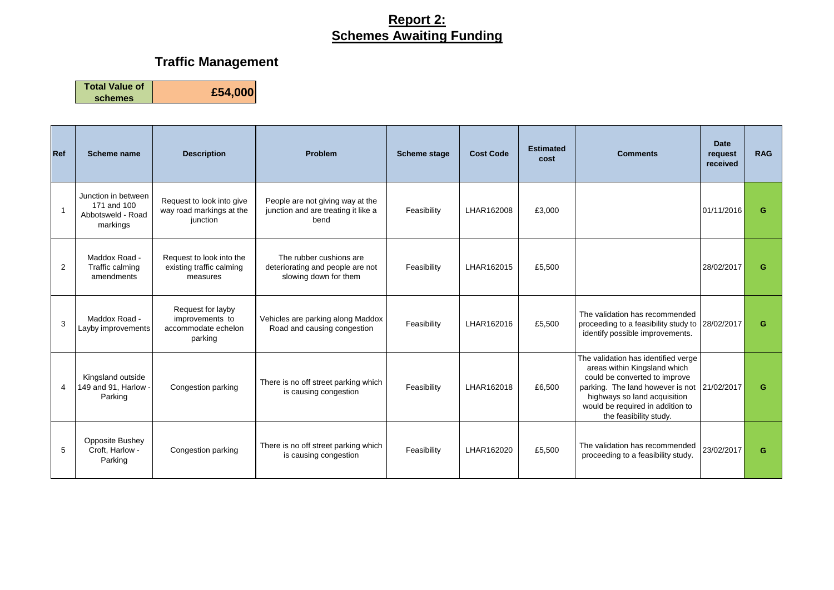# **Traffic Management**

| <b>Ref</b>     | Scheme name                                                         | <b>Description</b>                                                     | Problem                                                                              | <b>Scheme stage</b> | <b>Cost Code</b> | <b>Estimated</b><br>cost | <b>Comments</b>                                                                                                                                                                                                                                   | <b>Date</b><br>request<br>received | <b>RAG</b> |
|----------------|---------------------------------------------------------------------|------------------------------------------------------------------------|--------------------------------------------------------------------------------------|---------------------|------------------|--------------------------|---------------------------------------------------------------------------------------------------------------------------------------------------------------------------------------------------------------------------------------------------|------------------------------------|------------|
| $\overline{1}$ | Junction in between<br>171 and 100<br>Abbotsweld - Road<br>markings | Request to look into give<br>way road markings at the<br>junction      | People are not giving way at the<br>junction and are treating it like a<br>bend      | Feasibility         | LHAR162008       | £3,000                   |                                                                                                                                                                                                                                                   | 01/11/2016                         | G          |
| 2              | Maddox Road -<br>Traffic calming<br>amendments                      | Request to look into the<br>existing traffic calming<br>measures       | The rubber cushions are<br>deteriorating and people are not<br>slowing down for them | Feasibility         | LHAR162015       | £5,500                   |                                                                                                                                                                                                                                                   | 28/02/2017                         | G          |
| 3              | Maddox Road -<br>Layby improvements                                 | Request for layby<br>improvements to<br>accommodate echelon<br>parking | Vehicles are parking along Maddox<br>Road and causing congestion                     | Feasibility         | LHAR162016       | £5,500                   | The validation has recommended<br>proceeding to a feasibility study to 28/02/2017<br>identify possible improvements.                                                                                                                              |                                    | G          |
| $\overline{4}$ | Kingsland outside<br>149 and 91, Harlow -<br>Parking                | Congestion parking                                                     | There is no off street parking which<br>is causing congestion                        | Feasibility         | LHAR162018       | £6,500                   | The validation has identified verge<br>areas within Kingsland which<br>could be converted to improve<br>parking. The land however is not 21/02/2017<br>highways so land acquisition<br>would be required in addition to<br>the feasibility study. |                                    | G          |
| 5              | <b>Opposite Bushey</b><br>Croft, Harlow -<br>Parking                | Congestion parking                                                     | There is no off street parking which<br>is causing congestion                        | Feasibility         | LHAR162020       | £5,500                   | The validation has recommended<br>proceeding to a feasibility study.                                                                                                                                                                              | 23/02/2017                         | G          |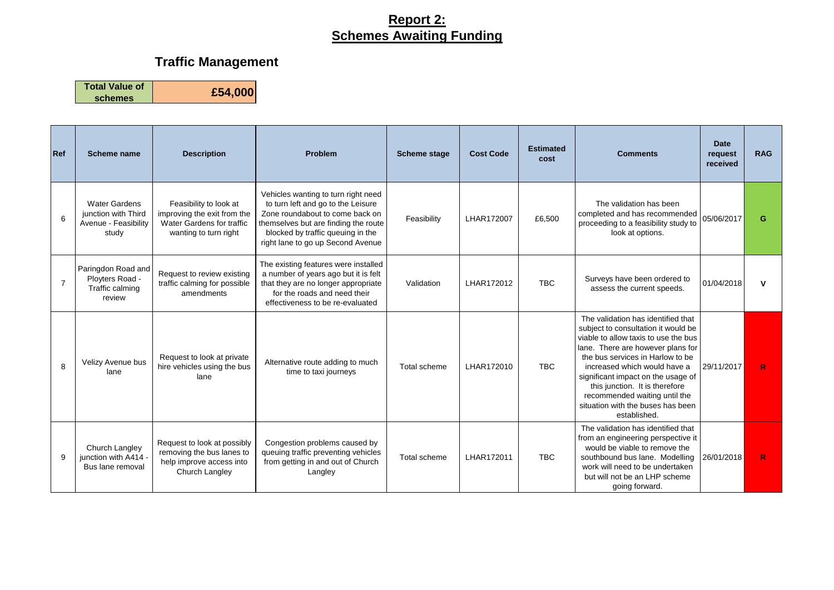# **Traffic Management**

| <b>Ref</b>     | Scheme name                                                                  | <b>Description</b>                                                                                          | Problem                                                                                                                                                                                                                        | <b>Scheme stage</b> | <b>Cost Code</b> | <b>Estimated</b><br>cost | <b>Comments</b>                                                                                                                                                                                                                                                                                                                                                                          | <b>Date</b><br>request<br>received | <b>RAG</b> |
|----------------|------------------------------------------------------------------------------|-------------------------------------------------------------------------------------------------------------|--------------------------------------------------------------------------------------------------------------------------------------------------------------------------------------------------------------------------------|---------------------|------------------|--------------------------|------------------------------------------------------------------------------------------------------------------------------------------------------------------------------------------------------------------------------------------------------------------------------------------------------------------------------------------------------------------------------------------|------------------------------------|------------|
| 6              | <b>Water Gardens</b><br>junction with Third<br>Avenue - Feasibility<br>study | Feasibility to look at<br>improving the exit from the<br>Water Gardens for traffic<br>wanting to turn right | Vehicles wanting to turn right need<br>to turn left and go to the Leisure<br>Zone roundabout to come back on<br>themselves but are finding the route<br>blocked by traffic queuing in the<br>right lane to go up Second Avenue | Feasibility         | LHAR172007       | £6,500                   | The validation has been<br>completed and has recommended<br>proceeding to a feasibility study to<br>look at options.                                                                                                                                                                                                                                                                     | 05/06/2017                         | G          |
| $\overline{7}$ | Paringdon Road and<br>Ployters Road -<br>Traffic calming<br>review           | Request to review existing<br>traffic calming for possible<br>amendments                                    | The existing features were installed<br>a number of years ago but it is felt<br>that they are no longer appropriate<br>for the roads and need their<br>effectiveness to be re-evaluated                                        | Validation          | LHAR172012       | <b>TBC</b>               | Surveys have been ordered to<br>assess the current speeds.                                                                                                                                                                                                                                                                                                                               | 01/04/2018                         | v          |
| 8              | Velizy Avenue bus<br>lane                                                    | Request to look at private<br>hire vehicles using the bus<br>lane                                           | Alternative route adding to much<br>time to taxi journeys                                                                                                                                                                      | Total scheme        | LHAR172010       | <b>TBC</b>               | The validation has identified that<br>subject to consultation it would be<br>viable to allow taxis to use the bus<br>lane. There are however plans for<br>the bus services in Harlow to be<br>increased which would have a<br>significant impact on the usage of<br>this junction. It is therefore<br>recommended waiting until the<br>situation with the buses has been<br>established. | 29/11/2017                         | R          |
| 9              | Church Langley<br>junction with A414 -<br>Bus lane removal                   | Request to look at possibly<br>removing the bus lanes to<br>help improve access into<br>Church Langley      | Congestion problems caused by<br>queuing traffic preventing vehicles<br>from getting in and out of Church<br>Langley                                                                                                           | Total scheme        | I HAR172011      | <b>TBC</b>               | The validation has identified that<br>from an engineering perspective it<br>would be viable to remove the<br>southbound bus lane. Modelling<br>work will need to be undertaken<br>but will not be an LHP scheme<br>going forward.                                                                                                                                                        | 26/01/2018                         | R          |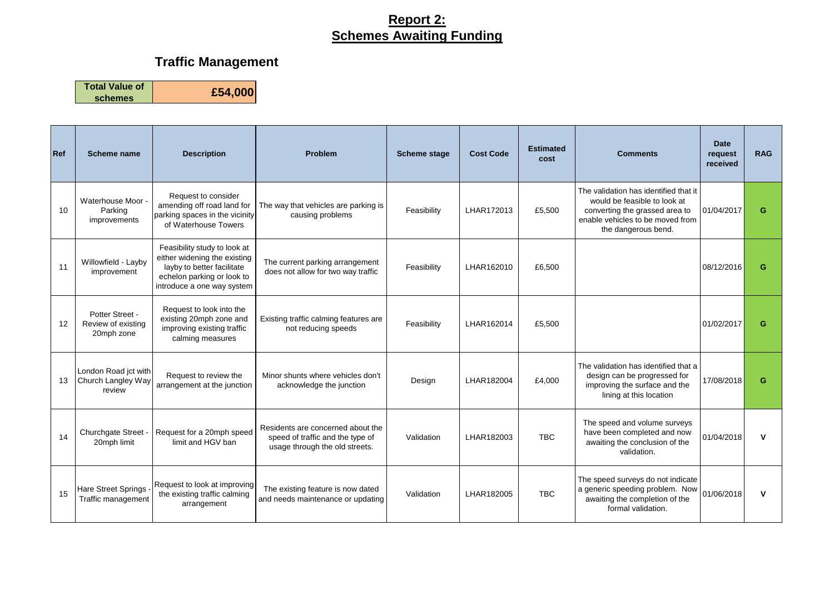# **Traffic Management**

| <b>Ref</b> | <b>Scheme name</b>                                   | <b>Description</b>                                                                                                                                     | <b>Problem</b>                                                                                          | <b>Scheme stage</b> | <b>Cost Code</b> | <b>Estimated</b><br>cost | <b>Comments</b>                                                                                                                                                    | <b>Date</b><br>request<br>received | <b>RAG</b> |
|------------|------------------------------------------------------|--------------------------------------------------------------------------------------------------------------------------------------------------------|---------------------------------------------------------------------------------------------------------|---------------------|------------------|--------------------------|--------------------------------------------------------------------------------------------------------------------------------------------------------------------|------------------------------------|------------|
| 10         | Waterhouse Moor -<br>Parking<br>improvements         | Request to consider<br>amending off road land for<br>parking spaces in the vicinity<br>of Waterhouse Towers                                            | The way that vehicles are parking is<br>causing problems                                                | Feasibility         | LHAR172013       | £5,500                   | The validation has identified that it<br>would be feasible to look at<br>converting the grassed area to<br>enable vehicles to be moved from<br>the dangerous bend. | 01/04/2017                         | G          |
| 11         | Willowfield - Layby<br>improvement                   | Feasibility study to look at<br>either widening the existing<br>layby to better facilitate<br>echelon parking or look to<br>introduce a one way system | The current parking arrangement<br>does not allow for two way traffic                                   | Feasibility         | LHAR162010       | £6,500                   |                                                                                                                                                                    | 08/12/2016                         | G.         |
| 12         | Potter Street -<br>Review of existing<br>20mph zone  | Request to look into the<br>existing 20mph zone and<br>improving existing traffic<br>calming measures                                                  | Existing traffic calming features are<br>not reducing speeds                                            | Feasibility         | LHAR162014       | £5.500                   |                                                                                                                                                                    | 01/02/2017                         | G.         |
| 13         | London Road jct with<br>Church Langley Way<br>review | Request to review the<br>arrangement at the junction                                                                                                   | Minor shunts where vehicles don't<br>acknowledge the junction                                           | Design              | LHAR182004       | £4.000                   | The validation has identified that a<br>design can be progressed for<br>improving the surface and the<br>lining at this location                                   | 17/08/2018                         | G          |
| 14         | Churchgate Street -<br>20mph limit                   | Request for a 20mph speed<br>limit and HGV ban                                                                                                         | Residents are concerned about the<br>speed of traffic and the type of<br>usage through the old streets. | Validation          | LHAR182003       | <b>TBC</b>               | The speed and volume surveys<br>have been completed and now<br>awaiting the conclusion of the<br>validation.                                                       | 01/04/2018                         | ν          |
| 15         | Hare Street Springs<br>Traffic management            | Request to look at improving<br>the existing traffic calming<br>arrangement                                                                            | The existing feature is now dated<br>and needs maintenance or updating                                  | Validation          | LHAR182005       | <b>TBC</b>               | The speed surveys do not indicate<br>a generic speeding problem. Now<br>awaiting the completion of the<br>formal validation.                                       | 01/06/2018                         | v          |